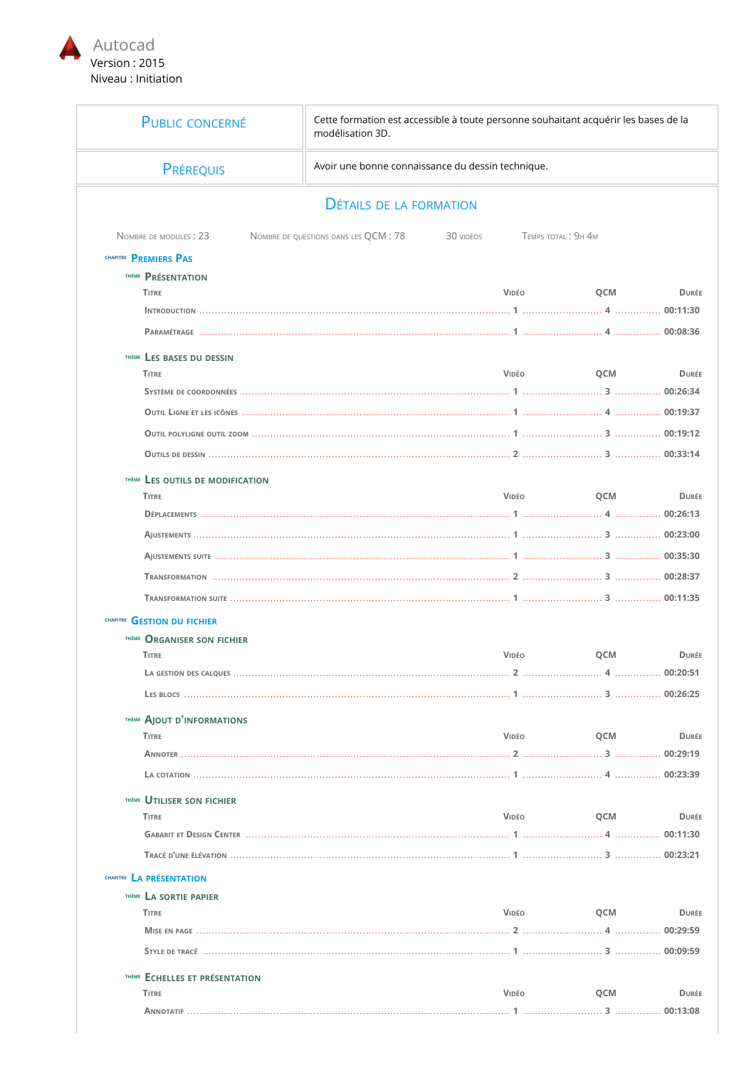

Ē

| <b>PUBLIC CONCERNÉ</b>             | modélisation 3D.                      | Cette formation est accessible à toute personne souhaitant acquérir les bases de la<br>Avoir une bonne connaissance du dessin technique. |     |              |  |  |
|------------------------------------|---------------------------------------|------------------------------------------------------------------------------------------------------------------------------------------|-----|--------------|--|--|
| PRÉREQUIS                          |                                       |                                                                                                                                          |     |              |  |  |
|                                    | <b>DÉTAILS DE LA FORMATION</b>        |                                                                                                                                          |     |              |  |  |
| NOMBRE DE MODULES : 23             | NOMBRE DE QUESTIONS DANS LES QCM : 78 | TEMPS TOTAL : 9H 4M<br>30 vidéos                                                                                                         |     |              |  |  |
| CHAPITRE PREMIERS PAS              |                                       |                                                                                                                                          |     |              |  |  |
| <b>THÈME PRÉSENTATION</b>          |                                       |                                                                                                                                          |     |              |  |  |
| <b>TITRE</b>                       |                                       | VIDÉO                                                                                                                                    | QCM | <b>DURÉE</b> |  |  |
|                                    |                                       |                                                                                                                                          |     |              |  |  |
|                                    |                                       |                                                                                                                                          |     |              |  |  |
| THÈME LES BASES DU DESSIN          |                                       |                                                                                                                                          |     |              |  |  |
| <b>TITRE</b>                       |                                       | VIDÉO                                                                                                                                    | QCM | <b>DURÉE</b> |  |  |
|                                    |                                       |                                                                                                                                          |     |              |  |  |
|                                    |                                       |                                                                                                                                          |     |              |  |  |
|                                    |                                       |                                                                                                                                          |     |              |  |  |
|                                    |                                       |                                                                                                                                          |     |              |  |  |
| THÈME LES OUTILS DE MODIFICATION   |                                       |                                                                                                                                          |     |              |  |  |
| <b>TITRE</b>                       |                                       | VIDÉO                                                                                                                                    | QCM | <b>DURÉE</b> |  |  |
|                                    |                                       |                                                                                                                                          |     |              |  |  |
|                                    |                                       |                                                                                                                                          |     |              |  |  |
|                                    |                                       |                                                                                                                                          |     |              |  |  |
|                                    |                                       |                                                                                                                                          |     |              |  |  |
|                                    |                                       |                                                                                                                                          |     |              |  |  |
|                                    |                                       |                                                                                                                                          |     |              |  |  |
| CHAPITRE GESTION DU FICHIER        |                                       |                                                                                                                                          |     |              |  |  |
| <b>THÈME ORGANISER SON FICHIER</b> |                                       |                                                                                                                                          |     |              |  |  |
| <b>TITRE</b>                       |                                       | VIDÉO                                                                                                                                    | QCM | <b>DURÉE</b> |  |  |
|                                    |                                       | 2                                                                                                                                        |     | 00:20:51     |  |  |
|                                    |                                       |                                                                                                                                          |     |              |  |  |
| <b>THÈME AJOUT D'INFORMATIONS</b>  |                                       |                                                                                                                                          |     |              |  |  |
| <b>TITRE</b>                       |                                       | VIDEO                                                                                                                                    | QCM | <b>DURÉE</b> |  |  |
|                                    |                                       |                                                                                                                                          |     |              |  |  |
|                                    |                                       |                                                                                                                                          |     |              |  |  |
| <b>THÈME UTILISER SON FICHIER</b>  |                                       |                                                                                                                                          |     |              |  |  |
| <b>TITRE</b>                       |                                       | VIDÉO                                                                                                                                    | QCM | <b>DURÉE</b> |  |  |
|                                    |                                       |                                                                                                                                          |     |              |  |  |
|                                    |                                       |                                                                                                                                          |     |              |  |  |
| CHAPITRE LA PRÉSENTATION           |                                       |                                                                                                                                          |     |              |  |  |
| <b>THÈME LA SORTIE PAPIER</b>      |                                       |                                                                                                                                          |     |              |  |  |
| <b>TITRE</b>                       |                                       | VIDÉO                                                                                                                                    | QCM | <b>DURÉE</b> |  |  |
|                                    |                                       |                                                                                                                                          |     |              |  |  |
|                                    |                                       |                                                                                                                                          |     |              |  |  |
| THÈME ECHELLES ET PRÉSENTATION     |                                       |                                                                                                                                          |     |              |  |  |
| <b>TITRE</b>                       |                                       | VIDÉO                                                                                                                                    | QCM | <b>DURÉE</b> |  |  |
|                                    |                                       |                                                                                                                                          |     |              |  |  |